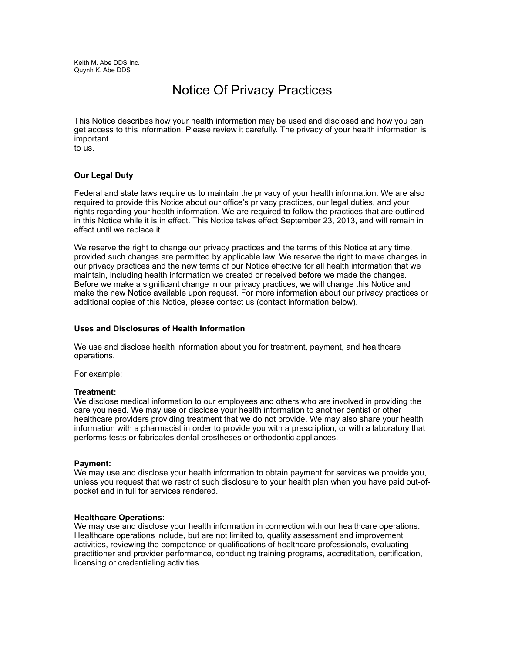Keith M. Abe DDS Inc. Quynh K. Abe DDS

# Notice Of Privacy Practices

This Notice describes how your health information may be used and disclosed and how you can get access to this information. Please review it carefully. The privacy of your health information is important

to us.

## **Our Legal Duty**

Federal and state laws require us to maintain the privacy of your health information. We are also required to provide this Notice about our office's privacy practices, our legal duties, and your rights regarding your health information. We are required to follow the practices that are outlined in this Notice while it is in effect. This Notice takes effect September 23, 2013, and will remain in effect until we replace it.

We reserve the right to change our privacy practices and the terms of this Notice at any time, provided such changes are permitted by applicable law. We reserve the right to make changes in our privacy practices and the new terms of our Notice effective for all health information that we maintain, including health information we created or received before we made the changes. Before we make a significant change in our privacy practices, we will change this Notice and make the new Notice available upon request. For more information about our privacy practices or additional copies of this Notice, please contact us (contact information below).

## **Uses and Disclosures of Health Information**

We use and disclose health information about you for treatment, payment, and healthcare operations.

For example:

## **Treatment:**

We disclose medical information to our employees and others who are involved in providing the care you need. We may use or disclose your health information to another dentist or other healthcare providers providing treatment that we do not provide. We may also share your health information with a pharmacist in order to provide you with a prescription, or with a laboratory that performs tests or fabricates dental prostheses or orthodontic appliances.

#### **Payment:**

We may use and disclose your health information to obtain payment for services we provide you, unless you request that we restrict such disclosure to your health plan when you have paid out-ofpocket and in full for services rendered.

## **Healthcare Operations:**

We may use and disclose your health information in connection with our healthcare operations. Healthcare operations include, but are not limited to, quality assessment and improvement activities, reviewing the competence or qualifications of healthcare professionals, evaluating practitioner and provider performance, conducting training programs, accreditation, certification, licensing or credentialing activities.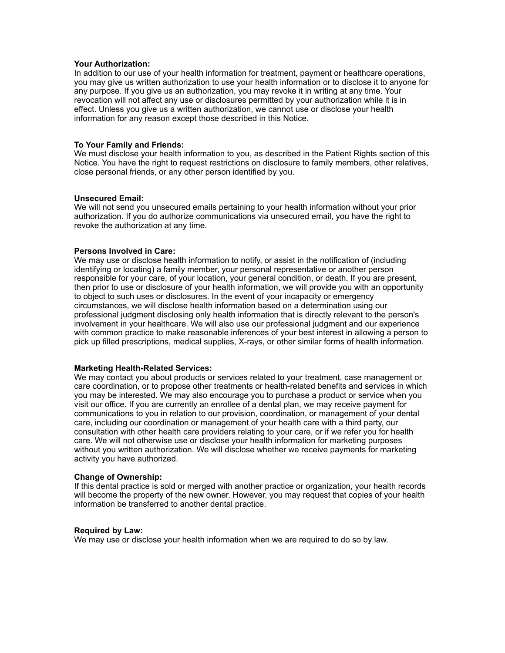#### **Your Authorization:**

In addition to our use of your health information for treatment, payment or healthcare operations, you may give us written authorization to use your health information or to disclose it to anyone for any purpose. If you give us an authorization, you may revoke it in writing at any time. Your revocation will not affect any use or disclosures permitted by your authorization while it is in effect. Unless you give us a written authorization, we cannot use or disclose your health information for any reason except those described in this Notice.

### **To Your Family and Friends:**

We must disclose your health information to you, as described in the Patient Rights section of this Notice. You have the right to request restrictions on disclosure to family members, other relatives, close personal friends, or any other person identified by you.

#### **Unsecured Email:**

We will not send you unsecured emails pertaining to your health information without your prior authorization. If you do authorize communications via unsecured email, you have the right to revoke the authorization at any time.

#### **Persons Involved in Care:**

We may use or disclose health information to notify, or assist in the notification of (including identifying or locating) a family member, your personal representative or another person responsible for your care, of your location, your general condition, or death. If you are present, then prior to use or disclosure of your health information, we will provide you with an opportunity to object to such uses or disclosures. In the event of your incapacity or emergency circumstances, we will disclose health information based on a determination using our professional judgment disclosing only health information that is directly relevant to the person's involvement in your healthcare. We will also use our professional judgment and our experience with common practice to make reasonable inferences of your best interest in allowing a person to pick up filled prescriptions, medical supplies, X-rays, or other similar forms of health information.

#### **Marketing Health-Related Services:**

We may contact you about products or services related to your treatment, case management or care coordination, or to propose other treatments or health-related benefits and services in which you may be interested. We may also encourage you to purchase a product or service when you visit our office. If you are currently an enrollee of a dental plan, we may receive payment for communications to you in relation to our provision, coordination, or management of your dental care, including our coordination or management of your health care with a third party, our consultation with other health care providers relating to your care, or if we refer you for health care. We will not otherwise use or disclose your health information for marketing purposes without you written authorization. We will disclose whether we receive payments for marketing activity you have authorized.

#### **Change of Ownership:**

If this dental practice is sold or merged with another practice or organization, your health records will become the property of the new owner. However, you may request that copies of your health information be transferred to another dental practice.

#### **Required by Law:**

We may use or disclose your health information when we are required to do so by law.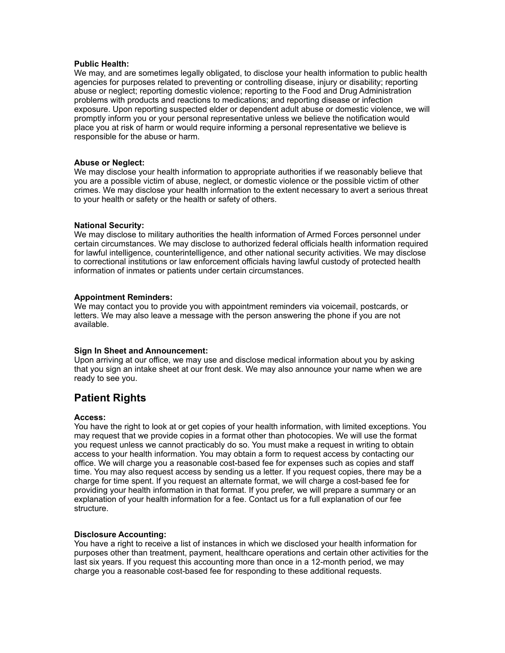### **Public Health:**

We may, and are sometimes legally obligated, to disclose your health information to public health agencies for purposes related to preventing or controlling disease, injury or disability; reporting abuse or neglect; reporting domestic violence; reporting to the Food and Drug Administration problems with products and reactions to medications; and reporting disease or infection exposure. Upon reporting suspected elder or dependent adult abuse or domestic violence, we will promptly inform you or your personal representative unless we believe the notification would place you at risk of harm or would require informing a personal representative we believe is responsible for the abuse or harm.

### **Abuse or Neglect:**

We may disclose your health information to appropriate authorities if we reasonably believe that you are a possible victim of abuse, neglect, or domestic violence or the possible victim of other crimes. We may disclose your health information to the extent necessary to avert a serious threat to your health or safety or the health or safety of others.

## **National Security:**

We may disclose to military authorities the health information of Armed Forces personnel under certain circumstances. We may disclose to authorized federal officials health information required for lawful intelligence, counterintelligence, and other national security activities. We may disclose to correctional institutions or law enforcement officials having lawful custody of protected health information of inmates or patients under certain circumstances.

## **Appointment Reminders:**

We may contact you to provide you with appointment reminders via voicemail, postcards, or letters. We may also leave a message with the person answering the phone if you are not available.

## **Sign In Sheet and Announcement:**

Upon arriving at our office, we may use and disclose medical information about you by asking that you sign an intake sheet at our front desk. We may also announce your name when we are ready to see you.

## **Patient Rights**

#### **Access:**

You have the right to look at or get copies of your health information, with limited exceptions. You may request that we provide copies in a format other than photocopies. We will use the format you request unless we cannot practicably do so. You must make a request in writing to obtain access to your health information. You may obtain a form to request access by contacting our office. We will charge you a reasonable cost-based fee for expenses such as copies and staff time. You may also request access by sending us a letter. If you request copies, there may be a charge for time spent. If you request an alternate format, we will charge a cost-based fee for providing your health information in that format. If you prefer, we will prepare a summary or an explanation of your health information for a fee. Contact us for a full explanation of our fee structure.

#### **Disclosure Accounting:**

You have a right to receive a list of instances in which we disclosed your health information for purposes other than treatment, payment, healthcare operations and certain other activities for the last six years. If you request this accounting more than once in a 12-month period, we may charge you a reasonable cost-based fee for responding to these additional requests.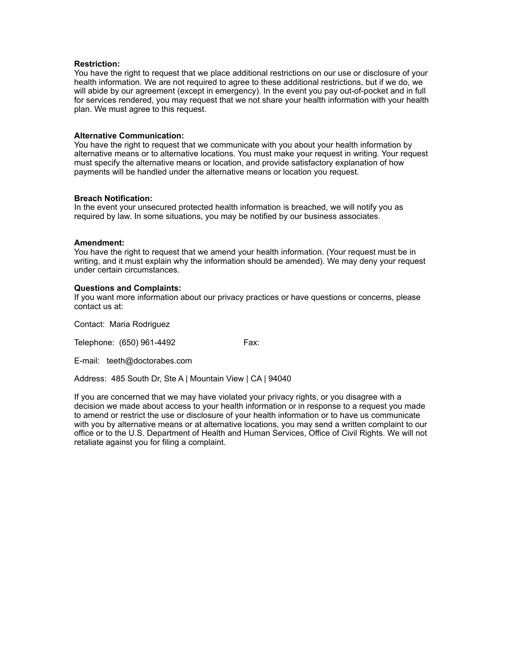### **Restriction:**

You have the right to request that we place additional restrictions on our use or disclosure of your health information. We are not required to agree to these additional restrictions, but if we do, we will abide by our agreement (except in emergency). In the event you pay out-of-pocket and in full for services rendered, you may request that we not share your health information with your health plan. We must agree to this request.

### **Alternative Communication:**

You have the right to request that we communicate with you about your health information by alternative means or to alternative locations. You must make your request in writing. Your request must specify the alternative means or location, and provide satisfactory explanation of how payments will be handled under the alternative means or location you request.

### **Breach Notification:**

In the event your unsecured protected health information is breached, we will notify you as required by law. In some situations, you may be notified by our business associates.

### **Amendment:**

You have the right to request that we amend your health information. (Your request must be in writing, and it must explain why the information should be amended). We may deny your request under certain circumstances.

### **Questions and Complaints:**

If you want more information about our privacy practices or have questions or concerns, please contact us at:

Contact: Maria Rodriguez

Telephone: (650) 961-4492 Fax:

E-mail: teeth@doctorabes.com

Address: 485 South Dr, Ste A | Mountain View | CA | 94040

If you are concerned that we may have violated your privacy rights, or you disagree with a decision we made about access to your health information or in response to a request you made to amend or restrict the use or disclosure of your health information or to have us communicate with you by alternative means or at alternative locations, you may send a written complaint to our office or to the U.S. Department of Health and Human Services, Office of Civil Rights. We will not retaliate against you for filing a complaint.